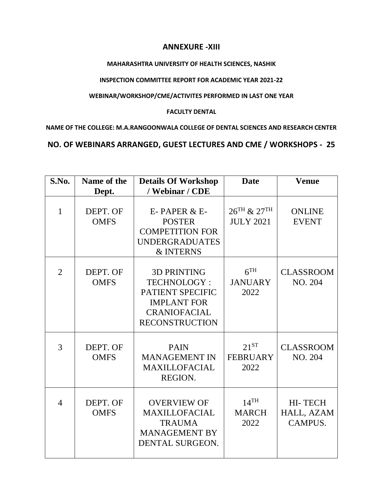## **ANNEXURE -XIII**

#### **MAHARASHTRA UNIVERSITY OF HEALTH SCIENCES, NASHIK**

#### **INSPECTION COMMITTEE REPORT FOR ACADEMIC YEAR 2021-22**

### **WEBINAR/WORKSHOP/CME/ACTIVITES PERFORMED IN LAST ONE YEAR**

#### **FACULTY DENTAL**

**NAME OF THE COLLEGE: M.A.RANGOONWALA COLLEGE OF DENTAL SCIENCES AND RESEARCH CENTER**

# **NO. OF WEBINARS ARRANGED, GUEST LECTURES AND CME / WORKSHOPS - 25**

| S.No.          | Name of the<br>Dept.    | <b>Details Of Workshop</b><br>/ Webinar / CDE                                                                                      | <b>Date</b>                                | <b>Venue</b>                     |
|----------------|-------------------------|------------------------------------------------------------------------------------------------------------------------------------|--------------------------------------------|----------------------------------|
| $\mathbf{1}$   | DEPT. OF<br><b>OMFS</b> | E-PAPER & E-<br><b>POSTER</b><br><b>COMPETITION FOR</b><br><b>UNDERGRADUATES</b><br><b>&amp; INTERNS</b>                           | $26^{TH}$ & $27^{TH}$<br><b>JULY 2021</b>  | <b>ONLINE</b><br><b>EVENT</b>    |
| $\overline{2}$ | DEPT. OF<br><b>OMFS</b> | <b>3D PRINTING</b><br><b>TECHNOLOGY:</b><br>PATIENT SPECIFIC<br><b>IMPLANT FOR</b><br><b>CRANIOFACIAL</b><br><b>RECONSTRUCTION</b> | 6 <sup>TH</sup><br><b>JANUARY</b><br>2022  | <b>CLASSROOM</b><br>NO. 204      |
| 3              | DEPT. OF<br><b>OMFS</b> | <b>PAIN</b><br><b>MANAGEMENT IN</b><br><b>MAXILLOFACIAL</b><br>REGION.                                                             | $21^{ST}$<br><b>FEBRUARY</b><br>2022       | <b>CLASSROOM</b><br>NO. 204      |
| $\overline{4}$ | DEPT. OF<br><b>OMFS</b> | <b>OVERVIEW OF</b><br><b>MAXILLOFACIAL</b><br><b>TRAUMA</b><br><b>MANAGEMENT BY</b><br><b>DENTAL SURGEON.</b>                      | $14$ <sup>TH</sup><br><b>MARCH</b><br>2022 | HI-TECH<br>HALL, AZAM<br>CAMPUS. |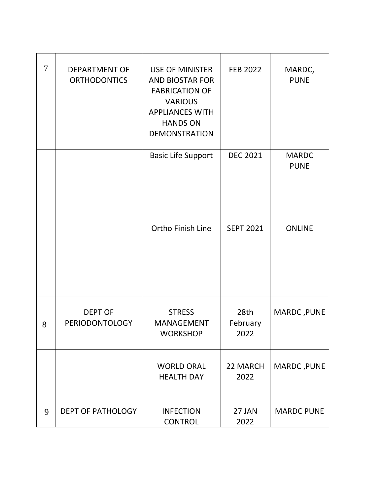| $\tau$ | <b>DEPARTMENT OF</b><br><b>ORTHODONTICS</b> | <b>USE OF MINISTER</b><br><b>AND BIOSTAR FOR</b><br><b>FABRICATION OF</b><br><b>VARIOUS</b><br><b>APPLIANCES WITH</b><br><b>HANDS ON</b><br><b>DEMONSTRATION</b> | <b>FEB 2022</b>          | MARDC,<br><b>PUNE</b>       |
|--------|---------------------------------------------|------------------------------------------------------------------------------------------------------------------------------------------------------------------|--------------------------|-----------------------------|
|        |                                             | <b>Basic Life Support</b>                                                                                                                                        | <b>DEC 2021</b>          | <b>MARDC</b><br><b>PUNE</b> |
|        |                                             | Ortho Finish Line                                                                                                                                                | <b>SEPT 2021</b>         | <b>ONLINE</b>               |
| 8      | <b>DEPT OF</b><br>PERIODONTOLOGY            | <b>STRESS</b><br><b>MANAGEMENT</b><br><b>WORKSHOP</b>                                                                                                            | 28th<br>February<br>2022 | MARDC, PUNE                 |
|        |                                             | <b>WORLD ORAL</b><br><b>HEALTH DAY</b>                                                                                                                           | 22 MARCH<br>2022         | MARDC, PUNE                 |
| 9      | <b>DEPT OF PATHOLOGY</b>                    | <b>INFECTION</b><br><b>CONTROL</b>                                                                                                                               | 27 JAN<br>2022           | <b>MARDC PUNE</b>           |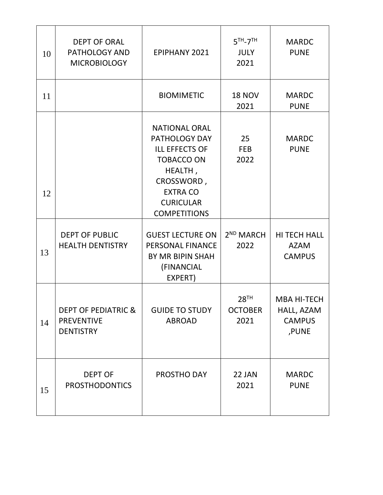| 10 | <b>DEPT OF ORAL</b><br>PATHOLOGY AND<br><b>MICROBIOLOGY</b>             | <b>EPIPHANY 2021</b>                                                                                                                                                              | $5TH - 7TH$<br><b>JULY</b><br>2021         | <b>MARDC</b><br><b>PUNE</b>                                |
|----|-------------------------------------------------------------------------|-----------------------------------------------------------------------------------------------------------------------------------------------------------------------------------|--------------------------------------------|------------------------------------------------------------|
| 11 |                                                                         | <b>BIOMIMETIC</b>                                                                                                                                                                 | <b>18 NOV</b><br>2021                      | <b>MARDC</b><br><b>PUNE</b>                                |
| 12 |                                                                         | <b>NATIONAL ORAL</b><br><b>PATHOLOGY DAY</b><br><b>ILL EFFECTS OF</b><br><b>TOBACCO ON</b><br>HEALTH,<br>CROSSWORD,<br><b>EXTRA CO</b><br><b>CURICULAR</b><br><b>COMPETITIONS</b> | 25<br><b>FEB</b><br>2022                   | <b>MARDC</b><br><b>PUNE</b>                                |
| 13 | <b>DEPT OF PUBLIC</b><br><b>HEALTH DENTISTRY</b>                        | <b>GUEST LECTURE ON</b><br>PERSONAL FINANCE<br>BY MR BIPIN SHAH<br>(FINANCIAL<br>EXPERT)                                                                                          | 2 <sup>ND</sup> MARCH<br>2022              | <b>HI TECH HALL</b><br><b>AZAM</b><br><b>CAMPUS</b>        |
| 14 | <b>DEPT OF PEDIATRIC &amp;</b><br><b>PREVENTIVE</b><br><b>DENTISTRY</b> | <b>GUIDE TO STUDY</b><br><b>ABROAD</b>                                                                                                                                            | 28 <sup>TH</sup><br><b>OCTOBER</b><br>2021 | <b>MBA HI-TECH</b><br>HALL, AZAM<br><b>CAMPUS</b><br>,PUNE |
| 15 | <b>DEPT OF</b><br><b>PROSTHODONTICS</b>                                 | PROSTHO DAY                                                                                                                                                                       | 22 JAN<br>2021                             | <b>MARDC</b><br><b>PUNE</b>                                |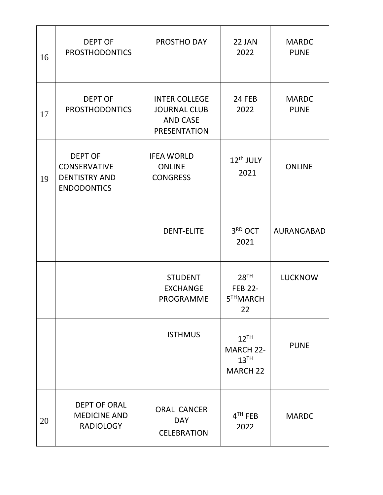| 16 | <b>DEPT OF</b><br><b>PROSTHODONTICS</b>                                             | PROSTHO DAY                                                                           | 22 JAN<br>2022                                                       | <b>MARDC</b><br><b>PUNE</b> |
|----|-------------------------------------------------------------------------------------|---------------------------------------------------------------------------------------|----------------------------------------------------------------------|-----------------------------|
| 17 | <b>DEPT OF</b><br><b>PROSTHODONTICS</b>                                             | <b>INTER COLLEGE</b><br><b>JOURNAL CLUB</b><br><b>AND CASE</b><br><b>PRESENTATION</b> | 24 FEB<br>2022                                                       | <b>MARDC</b><br><b>PUNE</b> |
| 19 | <b>DEPT OF</b><br><b>CONSERVATIVE</b><br><b>DENTISTRY AND</b><br><b>ENDODONTICS</b> | <b>IFEA WORLD</b><br><b>ONLINE</b><br><b>CONGRESS</b>                                 | 12 <sup>th</sup> JULY<br>2021                                        | <b>ONLINE</b>               |
|    |                                                                                     | <b>DENT-ELITE</b>                                                                     | 3RD OCT<br>2021                                                      | AURANGABAD                  |
|    |                                                                                     | <b>STUDENT</b><br><b>EXCHANGE</b><br>PROGRAMME                                        | 28 <sup>TH</sup><br><b>FEB 22-</b><br>5THMARCH<br>22                 | <b>LUCKNOW</b>              |
|    |                                                                                     | <b>ISTHMUS</b>                                                                        | $12^{TH}$<br><b>MARCH 22-</b><br>13 <sup>TH</sup><br><b>MARCH 22</b> | <b>PUNE</b>                 |
| 20 | <b>DEPT OF ORAL</b><br><b>MEDICINE AND</b><br><b>RADIOLOGY</b>                      | <b>ORAL CANCER</b><br><b>DAY</b><br><b>CELEBRATION</b>                                | $4TH$ FEB<br>2022                                                    | <b>MARDC</b>                |